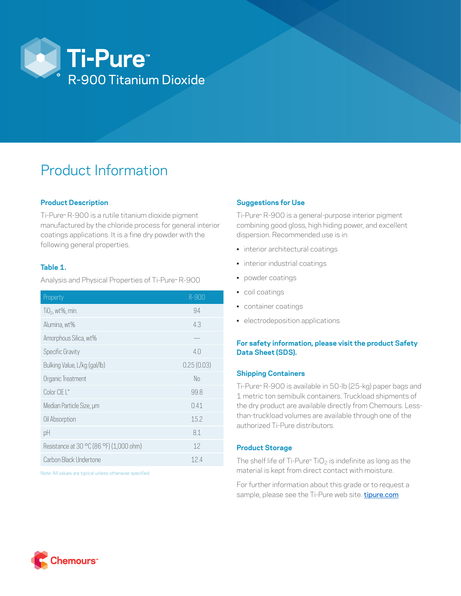

# Product Information

### **Product Description**

Ti-Pure™ R-900 is a rutile titanium dioxide pigment manufactured by the chloride process for general interior coatings applications. It is a fine dry powder with the following general properties.

# **Table 1.**

Analysis and Physical Properties of Ti-Pure™ R-900

| Property                                | $R - 900$      |
|-----------------------------------------|----------------|
| $TiO2$ , wt%, min.                      | 94             |
| Alumina, wt%                            | 4.3            |
| Amorphous Silica, wt%                   |                |
| Specific Gravity                        | 4 <sub>0</sub> |
| Bulking Value, L/kg (gal/lb)            | 0.25(0.03)     |
| Organic Treatment                       | No             |
| Color CIE L*                            | 99.8           |
| Median Particle Size, µm                | 0.41           |
| Oil Absorption                          | 15.2           |
| pH                                      | 8.1            |
| Resistance at 30 °C (86 °F) (1,000 ohm) | 12             |
| Carbon Black Undertone                  | 124            |

Note: All values are typical unless otherwise specified.

# **Suggestions for Use**

Ti-Pure™ R-900 is a general-purpose interior pigment combining good gloss, high hiding power, and excellent dispersion. Recommended use is in:

- interior architectural coatings
- interior industrial coatings
- powder coatings
- coil coatings
- container coatings
- electrodeposition applications

### **For safety information, please visit the product Safety Data Sheet (SDS).**

#### **Shipping Containers**

Ti-Pure™ R-900 is available in 50-lb (25-kg) paper bags and 1 metric ton semibulk containers. Truckload shipments of the dry product are available directly from Chemours. Lessthan-truckload volumes are available through one of the authorized Ti-Pure distributors.

#### **Product Storage**

The shelf life of Ti-Pure<sup>™</sup> TiO<sub>2</sub> is indefinite as long as the material is kept from direct contact with moisture.

For further information about this grade or to request a sample, please see the Ti-Pure web site. [tipure.com](https://www.tipure.com/en)